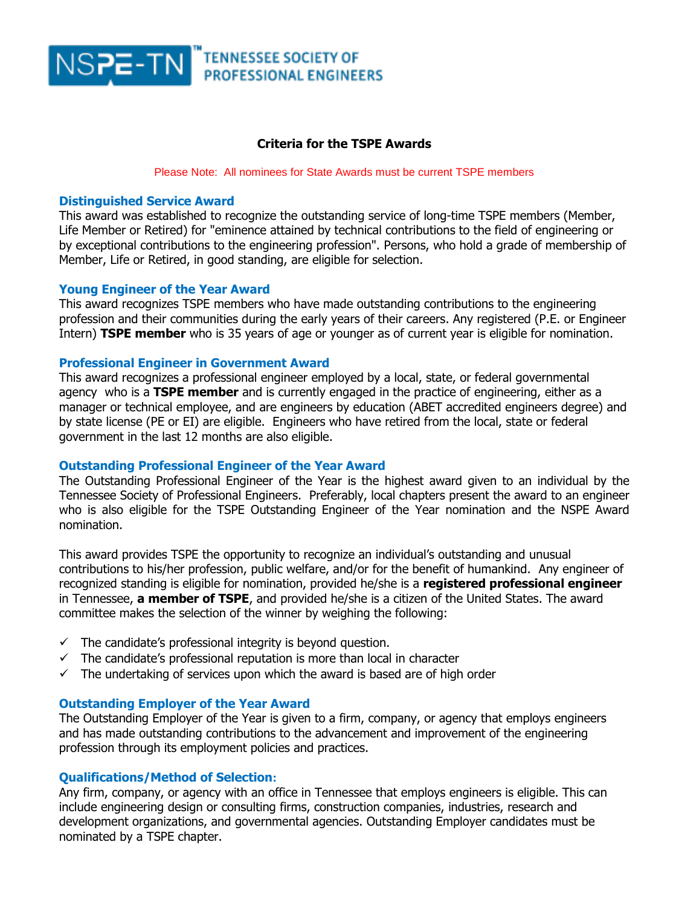

## **Criteria for the TSPE Awards**

#### Please Note: All nominees for State Awards must be current TSPE members

### **Distinguished Service Award**

This award was established to recognize the outstanding service of long-time TSPE members (Member, Life Member or Retired) for "eminence attained by technical contributions to the field of engineering or by exceptional contributions to the engineering profession". Persons, who hold a grade of membership of Member, Life or Retired, in good standing, are eligible for selection.

#### **Young Engineer of the Year Award**

This award recognizes TSPE members who have made outstanding contributions to the engineering profession and their communities during the early years of their careers. Any registered (P.E. or Engineer Intern) **TSPE member** who is 35 years of age or younger as of current year is eligible for nomination.

#### **Professional Engineer in Government Award**

This award recognizes a professional engineer employed by a local, state, or federal governmental agency who is a **TSPE member** and is currently engaged in the practice of engineering, either as a manager or technical employee, and are engineers by education (ABET accredited engineers degree) and by state license (PE or EI) are eligible. Engineers who have retired from the local, state or federal government in the last 12 months are also eligible.

## **Outstanding Professional Engineer of the Year Award**

The Outstanding Professional Engineer of the Year is the highest award given to an individual by the Tennessee Society of Professional Engineers. Preferably, local chapters present the award to an engineer who is also eligible for the TSPE Outstanding Engineer of the Year nomination and the NSPE Award nomination.

This award provides TSPE the opportunity to recognize an individual's outstanding and unusual contributions to his/her profession, public welfare, and/or for the benefit of humankind. Any engineer of recognized standing is eligible for nomination, provided he/she is a **registered professional engineer** in Tennessee, **a member of TSPE**, and provided he/she is a citizen of the United States. The award committee makes the selection of the winner by weighing the following:

- $\checkmark$  The candidate's professional integrity is beyond question.
- $\checkmark$  The candidate's professional reputation is more than local in character
- $\checkmark$  The undertaking of services upon which the award is based are of high order

#### **Outstanding Employer of the Year Award**

The Outstanding Employer of the Year is given to a firm, company, or agency that employs engineers and has made outstanding contributions to the advancement and improvement of the engineering profession through its employment policies and practices.

## **Qualifications/Method of Selection:**

Any firm, company, or agency with an office in Tennessee that employs engineers is eligible. This can include engineering design or consulting firms, construction companies, industries, research and development organizations, and governmental agencies. Outstanding Employer candidates must be nominated by a TSPE chapter.